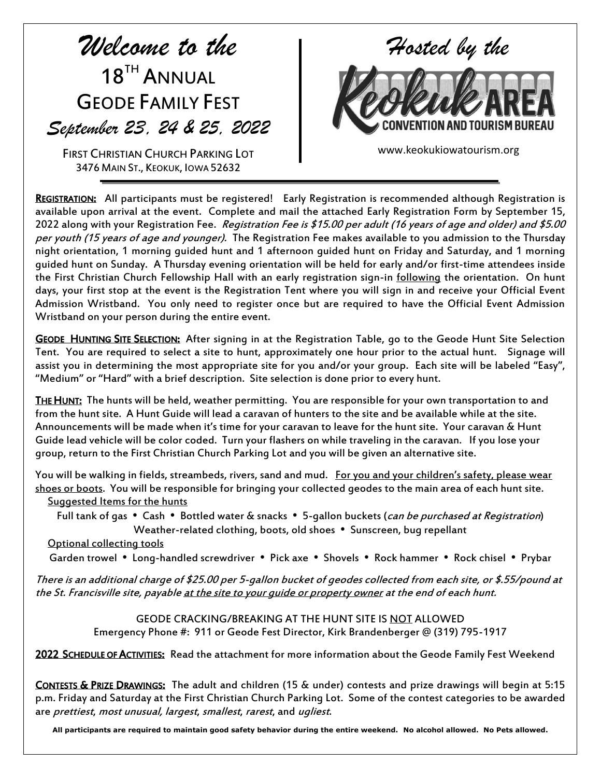## *Welcome to the*  18<sup>TH</sup> ANNUAL GEODE FAMILY FEST *September 23, 24 & 25, 2022*

FIRST CHRISTIAN CHURCH PARKING LOT 3476 MAIN ST., KEOKUK, IOWA 52632



www.keokukiowatourism.org

REGISTRATION: All participants must be registered! Early Registration is recommended although Registration is available upon arrival at the event. Complete and mail the attached Early Registration Form by September 15, 2022 along with your Registration Fee. Registration Fee is \$15.00 per adult (16 years of age and older) and \$5.00 per youth (15 years of age and younger). The Registration Fee makes available to you admission to the Thursday night orientation, 1 morning guided hunt and 1 afternoon guided hunt on Friday and Saturday, and 1 morning guided hunt on Sunday. A Thursday evening orientation will be held for early and/or first-time attendees inside the First Christian Church Fellowship Hall with an early registration sign-in following the orientation. On hunt days, your first stop at the event is the Registration Tent where you will sign in and receive your Official Event Admission Wristband. You only need to register once but are required to have the Official Event Admission Wristband on your person during the entire event.

GEODE HUNTING SITE SELECTION: After signing in at the Registration Table, go to the Geode Hunt Site Selection Tent. You are required to select a site to hunt, approximately one hour prior to the actual hunt. Signage will assist you in determining the most appropriate site for you and/or your group. Each site will be labeled "Easy", "Medium" or "Hard" with a brief description. Site selection is done prior to every hunt.

THE HUNT: The hunts will be held, weather permitting. You are responsible for your own transportation to and from the hunt site. A Hunt Guide will lead a caravan of hunters to the site and be available while at the site. Announcements will be made when it's time for your caravan to leave for the hunt site. Your caravan & Hunt Guide lead vehicle will be color coded. Turn your flashers on while traveling in the caravan. If you lose your group, return to the First Christian Church Parking Lot and you will be given an alternative site.

You will be walking in fields, streambeds, rivers, sand and mud. For you and your children's safety, please wear shoes or boots. You will be responsible for bringing your collected geodes to the main area of each hunt site. Suggested Items for the hunts

Full tank of gas • Cash • Bottled water & snacks • 5-gallon buckets (can be purchased at Registration) Weather-related clothing, boots, old shoes . Sunscreen, bug repellant

## Optional collecting tools

Garden trowel • Long-handled screwdriver • Pick axe • Shovels • Rock hammer • Rock chisel • Prybar

There is an additional charge of \$25.00 per 5-gallon bucket of geodes collected from each site, or \$.55/pound at the St. Francisville site, payable at the site to your quide or property owner at the end of each hunt.

> GEODE CRACKING/BREAKING AT THE HUNT SITE IS NOT ALLOWED Emergency Phone #: 911 or Geode Fest Director, Kirk Brandenberger @ (319) 795-1917

2022 SCHEDULE OF ACTIVITIES: Read the attachment for more information about the Geode Family Fest Weekend

CONTESTS & PRIZE DRAWINGS: The adult and children (15 & under) contests and prize drawings will begin at 5:15 p.m. Friday and Saturday at the First Christian Church Parking Lot. Some of the contest categories to be awarded are prettiest, most unusual, largest, smallest, rarest, and ugliest.

**All participants are required to maintain good safety behavior during the entire weekend. No alcohol allowed. No Pets allowed.**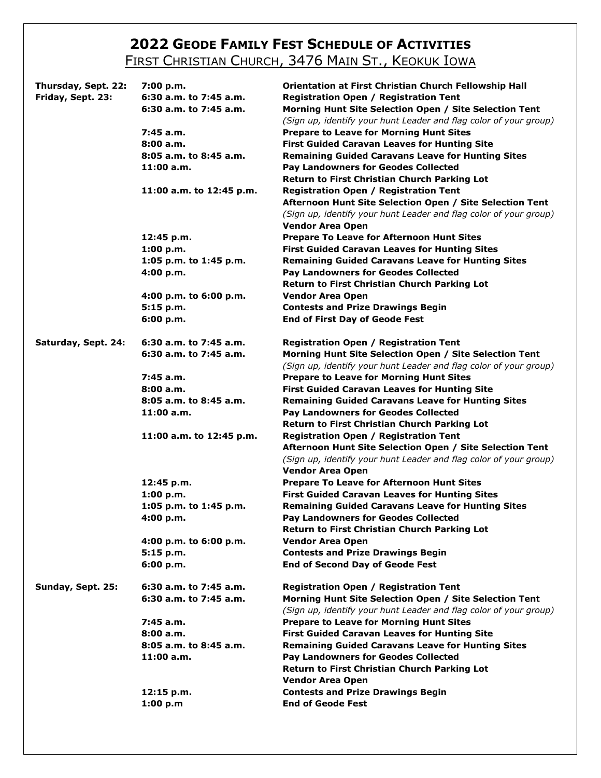## **2022 GEODE FAMILY FEST SCHEDULE OF ACTIVITIES** FIRST CHRISTIAN CHURCH, 3476 MAIN ST., KEOKUK IOWA

| Thursday, Sept. 22:<br>Friday, Sept. 23: | 7:00 p.m.<br>6:30 a.m. to 7:45 a.m.<br>6:30 a.m. to 7:45 a.m.<br>7:45 a.m.<br>8:00a.m.<br>8:05 a.m. to 8:45 a.m.<br>11:00 a.m.<br>11:00 a.m. to 12:45 p.m. | Orientation at First Christian Church Fellowship Hall<br><b>Registration Open / Registration Tent</b><br>Morning Hunt Site Selection Open / Site Selection Tent<br>(Sign up, identify your hunt Leader and flag color of your group)<br><b>Prepare to Leave for Morning Hunt Sites</b><br><b>First Guided Caravan Leaves for Hunting Site</b><br><b>Remaining Guided Caravans Leave for Hunting Sites</b><br><b>Pay Landowners for Geodes Collected</b><br>Return to First Christian Church Parking Lot<br><b>Registration Open / Registration Tent</b><br>Afternoon Hunt Site Selection Open / Site Selection Tent<br>(Sign up, identify your hunt Leader and flag color of your group) |
|------------------------------------------|------------------------------------------------------------------------------------------------------------------------------------------------------------|------------------------------------------------------------------------------------------------------------------------------------------------------------------------------------------------------------------------------------------------------------------------------------------------------------------------------------------------------------------------------------------------------------------------------------------------------------------------------------------------------------------------------------------------------------------------------------------------------------------------------------------------------------------------------------------|
|                                          | 12:45 p.m.<br>1:00 p.m.<br>1:05 p.m. to 1:45 p.m.<br>4:00 p.m.<br>4:00 p.m. to 6:00 p.m.<br>5:15 p.m.<br>6:00 p.m.                                         | <b>Vendor Area Open</b><br><b>Prepare To Leave for Afternoon Hunt Sites</b><br><b>First Guided Caravan Leaves for Hunting Sites</b><br><b>Remaining Guided Caravans Leave for Hunting Sites</b><br><b>Pay Landowners for Geodes Collected</b><br><b>Return to First Christian Church Parking Lot</b><br><b>Vendor Area Open</b><br><b>Contests and Prize Drawings Begin</b><br><b>End of First Day of Geode Fest</b>                                                                                                                                                                                                                                                                     |
| Saturday, Sept. 24:                      | 6:30 a.m. to 7:45 a.m.<br>6:30 a.m. to 7:45 a.m.                                                                                                           | <b>Registration Open / Registration Tent</b><br>Morning Hunt Site Selection Open / Site Selection Tent                                                                                                                                                                                                                                                                                                                                                                                                                                                                                                                                                                                   |
|                                          | 7:45 a.m.<br>8:00a.m.<br>8:05 a.m. to 8:45 a.m.<br>11:00 a.m.                                                                                              | (Sign up, identify your hunt Leader and flag color of your group)<br><b>Prepare to Leave for Morning Hunt Sites</b><br><b>First Guided Caravan Leaves for Hunting Site</b><br><b>Remaining Guided Caravans Leave for Hunting Sites</b><br><b>Pay Landowners for Geodes Collected</b><br><b>Return to First Christian Church Parking Lot</b>                                                                                                                                                                                                                                                                                                                                              |
|                                          | 11:00 a.m. to 12:45 p.m.                                                                                                                                   | <b>Registration Open / Registration Tent</b><br>Afternoon Hunt Site Selection Open / Site Selection Tent<br>(Sign up, identify your hunt Leader and flag color of your group)<br><b>Vendor Area Open</b>                                                                                                                                                                                                                                                                                                                                                                                                                                                                                 |
|                                          | 12:45 p.m.<br>1:00 p.m.<br>1:05 p.m. to 1:45 p.m.<br>4:00 p.m.                                                                                             | <b>Prepare To Leave for Afternoon Hunt Sites</b><br><b>First Guided Caravan Leaves for Hunting Sites</b><br><b>Remaining Guided Caravans Leave for Hunting Sites</b><br><b>Pay Landowners for Geodes Collected</b><br><b>Return to First Christian Church Parking Lot</b>                                                                                                                                                                                                                                                                                                                                                                                                                |
|                                          | 4:00 p.m. to 6:00 p.m.<br>5:15 p.m.<br>6:00 p.m.                                                                                                           | <b>Vendor Area Open</b><br><b>Contests and Prize Drawings Begin</b><br><b>End of Second Day of Geode Fest</b>                                                                                                                                                                                                                                                                                                                                                                                                                                                                                                                                                                            |
| Sunday, Sept. 25:                        | 6:30 a.m. to 7:45 a.m.<br>6:30 a.m. to 7:45 a.m.                                                                                                           | <b>Registration Open / Registration Tent</b><br>Morning Hunt Site Selection Open / Site Selection Tent<br>(Sign up, identify your hunt Leader and flag color of your group)                                                                                                                                                                                                                                                                                                                                                                                                                                                                                                              |
|                                          | 7:45 a.m.<br>8:00a.m.<br>8:05 a.m. to 8:45 a.m.<br>11:00 a.m.                                                                                              | <b>Prepare to Leave for Morning Hunt Sites</b><br><b>First Guided Caravan Leaves for Hunting Site</b><br><b>Remaining Guided Caravans Leave for Hunting Sites</b><br><b>Pay Landowners for Geodes Collected</b><br><b>Return to First Christian Church Parking Lot</b><br><b>Vendor Area Open</b>                                                                                                                                                                                                                                                                                                                                                                                        |
|                                          | 12:15 p.m.<br>1:00 p.m                                                                                                                                     | <b>Contests and Prize Drawings Begin</b><br><b>End of Geode Fest</b>                                                                                                                                                                                                                                                                                                                                                                                                                                                                                                                                                                                                                     |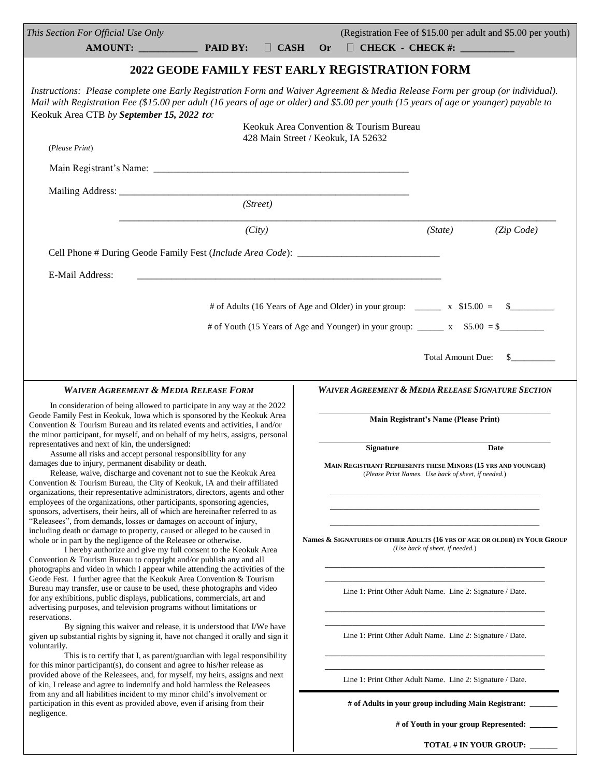| This Section For Official Use Only<br>PAID BY:<br>$\Box$ CASH<br><b>AMOUNT:</b>                                                                                                                                                                                                                                                                                                                                                              | (Registration Fee of \$15.00 per adult and \$5.00 per youth)<br>$\Box$ CHECK - CHECK #: $\_\_\_\_\_\_\_\_\_\_\_\_$<br><b>Or</b> |  |  |  |
|----------------------------------------------------------------------------------------------------------------------------------------------------------------------------------------------------------------------------------------------------------------------------------------------------------------------------------------------------------------------------------------------------------------------------------------------|---------------------------------------------------------------------------------------------------------------------------------|--|--|--|
| 2022 GEODE FAMILY FEST EARLY REGISTRATION FORM                                                                                                                                                                                                                                                                                                                                                                                               |                                                                                                                                 |  |  |  |
| Instructions: Please complete one Early Registration Form and Waiver Agreement & Media Release Form per group (or individual).<br>Mail with Registration Fee (\$15.00 per adult (16 years of age or older) and \$5.00 per youth (15 years of age or younger) payable to<br>Keokuk Area CTB by September 15, 2022 to:                                                                                                                         |                                                                                                                                 |  |  |  |
| (Please Print)                                                                                                                                                                                                                                                                                                                                                                                                                               | Keokuk Area Convention & Tourism Bureau<br>428 Main Street / Keokuk, IA 52632                                                   |  |  |  |
|                                                                                                                                                                                                                                                                                                                                                                                                                                              |                                                                                                                                 |  |  |  |
| (Street)                                                                                                                                                                                                                                                                                                                                                                                                                                     |                                                                                                                                 |  |  |  |
| (City)                                                                                                                                                                                                                                                                                                                                                                                                                                       | (Zip Code)<br>(State)                                                                                                           |  |  |  |
| Cell Phone # During Geode Family Fest (Include Area Code): _____________________                                                                                                                                                                                                                                                                                                                                                             |                                                                                                                                 |  |  |  |
| E-Mail Address:                                                                                                                                                                                                                                                                                                                                                                                                                              |                                                                                                                                 |  |  |  |
| # of Adults (16 Years of Age and Older) in your group: x \$15.00 = \$                                                                                                                                                                                                                                                                                                                                                                        |                                                                                                                                 |  |  |  |
| # of Youth (15 Years of Age and Younger) in your group: $\frac{\ }{2}$ x \$5.00 = \$                                                                                                                                                                                                                                                                                                                                                         |                                                                                                                                 |  |  |  |
| <b>Total Amount Due:</b><br>$\mathbf{s}$                                                                                                                                                                                                                                                                                                                                                                                                     |                                                                                                                                 |  |  |  |
| <b>WAIVER AGREEMENT &amp; MEDIA RELEASE FORM</b><br><b>WAIVER AGREEMENT &amp; MEDIA RELEASE SIGNATURE SECTION</b>                                                                                                                                                                                                                                                                                                                            |                                                                                                                                 |  |  |  |
| In consideration of being allowed to participate in any way at the 2022<br>Geode Family Fest in Keokuk, Iowa which is sponsored by the Keokuk Area<br>Convention & Tourism Bureau and its related events and activities, I and/or<br>the minor participant, for myself, and on behalf of my heirs, assigns, personal                                                                                                                         | <b>Main Registrant's Name (Please Print)</b>                                                                                    |  |  |  |
| representatives and next of kin, the undersigned:<br>Assume all risks and accept personal responsibility for any                                                                                                                                                                                                                                                                                                                             | <b>Signature</b><br><b>Date</b>                                                                                                 |  |  |  |
| damages due to injury, permanent disability or death.<br>Release, waive, discharge and covenant not to sue the Keokuk Area<br>Convention & Tourism Bureau, the City of Keokuk, IA and their affiliated<br>organizations, their representative administrators, directors, agents and other                                                                                                                                                    | MAIN REGISTRANT REPRESENTS THESE MINORS (15 YRS AND YOUNGER)<br>(Please Print Names. Use back of sheet, if needed.)             |  |  |  |
| employees of the organizations, other participants, sponsoring agencies,<br>sponsors, advertisers, their heirs, all of which are hereinafter referred to as                                                                                                                                                                                                                                                                                  |                                                                                                                                 |  |  |  |
| "Releasees", from demands, losses or damages on account of injury,<br>including death or damage to property, caused or alleged to be caused in<br>whole or in part by the negligence of the Releasee or otherwise.<br>I hereby authorize and give my full consent to the Keokuk Area<br>Convention & Tourism Bureau to copyright and/or publish any and all<br>photographs and video in which I appear while attending the activities of the | Names & SIGNATURES OF OTHER ADULTS (16 YRS OF AGE OR OLDER) IN YOUR GROUP<br>(Use back of sheet, if needed.)                    |  |  |  |
| Geode Fest. I further agree that the Keokuk Area Convention & Tourism<br>Bureau may transfer, use or cause to be used, these photographs and video<br>for any exhibitions, public displays, publications, commercials, art and<br>advertising purposes, and television programs without limitations or<br>reservations.                                                                                                                      | Line 1: Print Other Adult Name. Line 2: Signature / Date.                                                                       |  |  |  |
| By signing this waiver and release, it is understood that I/We have<br>given up substantial rights by signing it, have not changed it orally and sign it<br>voluntarily.                                                                                                                                                                                                                                                                     | Line 1: Print Other Adult Name. Line 2: Signature / Date.                                                                       |  |  |  |
| This is to certify that I, as parent/guardian with legal responsibility<br>for this minor participant(s), do consent and agree to his/her release as<br>provided above of the Releasees, and, for myself, my heirs, assigns and next<br>of kin, I release and agree to indemnify and hold harmless the Releasees                                                                                                                             | Line 1: Print Other Adult Name. Line 2: Signature / Date.                                                                       |  |  |  |
| from any and all liabilities incident to my minor child's involvement or<br>participation in this event as provided above, even if arising from their                                                                                                                                                                                                                                                                                        | # of Adults in your group including Main Registrant: ______                                                                     |  |  |  |
| negligence.                                                                                                                                                                                                                                                                                                                                                                                                                                  | # of Youth in your group Represented:                                                                                           |  |  |  |
|                                                                                                                                                                                                                                                                                                                                                                                                                                              | <b>TOTAL # IN YOUR GROUP:</b>                                                                                                   |  |  |  |